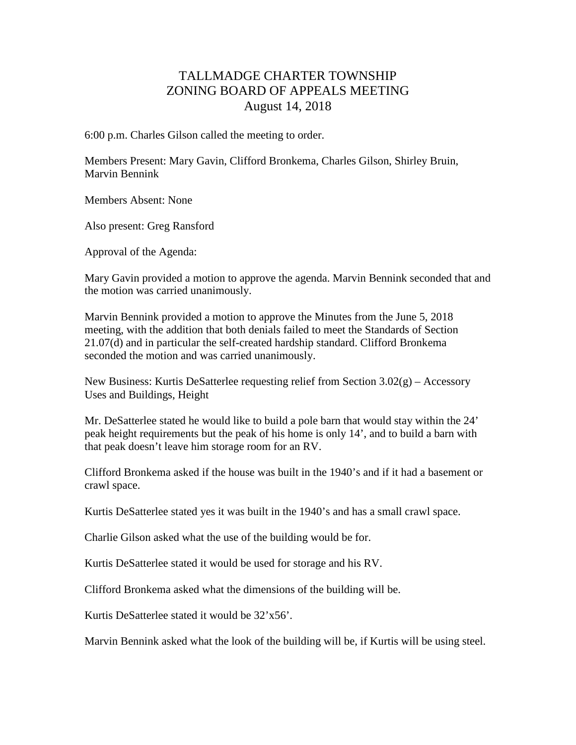## TALLMADGE CHARTER TOWNSHIP ZONING BOARD OF APPEALS MEETING August 14, 2018

6:00 p.m. Charles Gilson called the meeting to order.

Members Present: Mary Gavin, Clifford Bronkema, Charles Gilson, Shirley Bruin, Marvin Bennink

Members Absent: None

Also present: Greg Ransford

Approval of the Agenda:

Mary Gavin provided a motion to approve the agenda. Marvin Bennink seconded that and the motion was carried unanimously.

Marvin Bennink provided a motion to approve the Minutes from the June 5, 2018 meeting, with the addition that both denials failed to meet the Standards of Section 21.07(d) and in particular the self-created hardship standard. Clifford Bronkema seconded the motion and was carried unanimously.

New Business: Kurtis DeSatterlee requesting relief from Section 3.02(g) – Accessory Uses and Buildings, Height

Mr. DeSatterlee stated he would like to build a pole barn that would stay within the 24' peak height requirements but the peak of his home is only 14', and to build a barn with that peak doesn't leave him storage room for an RV.

Clifford Bronkema asked if the house was built in the 1940's and if it had a basement or crawl space.

Kurtis DeSatterlee stated yes it was built in the 1940's and has a small crawl space.

Charlie Gilson asked what the use of the building would be for.

Kurtis DeSatterlee stated it would be used for storage and his RV.

Clifford Bronkema asked what the dimensions of the building will be.

Kurtis DeSatterlee stated it would be 32'x56'.

Marvin Bennink asked what the look of the building will be, if Kurtis will be using steel.